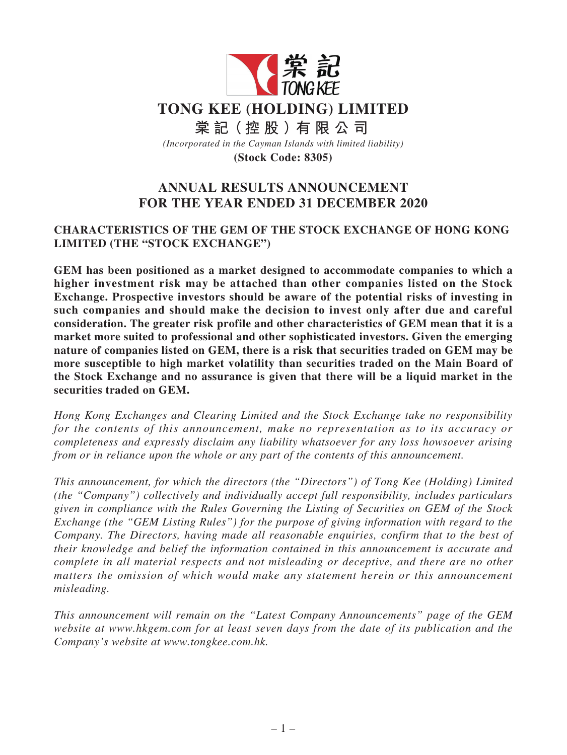

# **ANNUAL RESULTS ANNOUNCEMENT FOR THE YEAR ENDED 31 DECEMBER 2020**

### **CHARACTERISTICS OF THE GEM OF THE STOCK EXCHANGE OF HONG KONG LIMITED (THE "STOCK EXCHANGE")**

**GEM has been positioned as a market designed to accommodate companies to which a higher investment risk may be attached than other companies listed on the Stock Exchange. Prospective investors should be aware of the potential risks of investing in such companies and should make the decision to invest only after due and careful consideration. The greater risk profile and other characteristics of GEM mean that it is a market more suited to professional and other sophisticated investors. Given the emerging nature of companies listed on GEM, there is a risk that securities traded on GEM may be more susceptible to high market volatility than securities traded on the Main Board of the Stock Exchange and no assurance is given that there will be a liquid market in the securities traded on GEM.**

*Hong Kong Exchanges and Clearing Limited and the Stock Exchange take no responsibility for the contents of this announcement, make no representation as to its accuracy or completeness and expressly disclaim any liability whatsoever for any loss howsoever arising from or in reliance upon the whole or any part of the contents of this announcement.*

*This announcement, for which the directors (the "Directors") of Tong Kee (Holding) Limited (the "Company") collectively and individually accept full responsibility, includes particulars given in compliance with the Rules Governing the Listing of Securities on GEM of the Stock Exchange (the "GEM Listing Rules") for the purpose of giving information with regard to the Company. The Directors, having made all reasonable enquiries, confirm that to the best of their knowledge and belief the information contained in this announcement is accurate and complete in all material respects and not misleading or deceptive, and there are no other matters the omission of which would make any statement herein or this announcement misleading.*

*This announcement will remain on the "Latest Company Announcements" page of the GEM website at www.hkgem.com for at least seven days from the date of its publication and the Company's website at www.tongkee.com.hk.*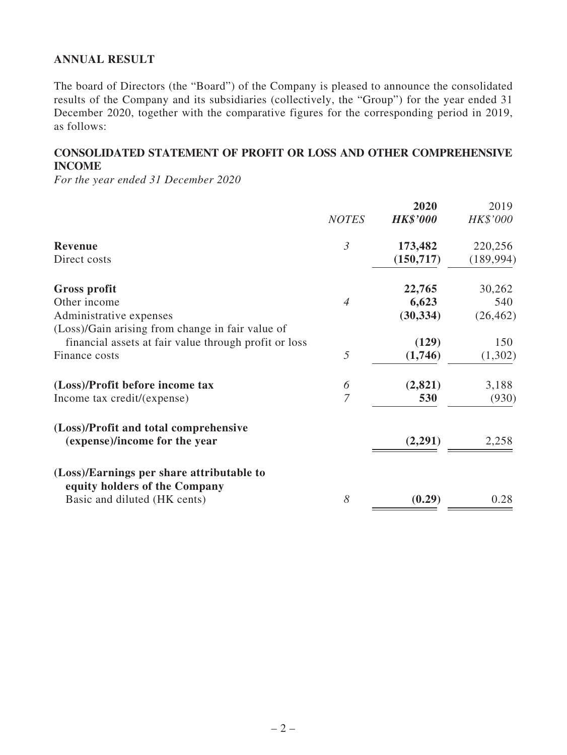### **ANNUAL RESULT**

The board of Directors (the "Board") of the Company is pleased to announce the consolidated results of the Company and its subsidiaries (collectively, the "Group") for the year ended 31 December 2020, together with the comparative figures for the corresponding period in 2019, as follows:

### **CONSOLIDATED STATEMENT OF PROFIT OR LOSS AND OTHER COMPREHENSIVE INCOME**

*For the year ended 31 December 2020*

|                                                       | <b>NOTES</b>   | 2020<br><b>HK\$'000</b> | 2019<br>HK\$'000 |
|-------------------------------------------------------|----------------|-------------------------|------------------|
|                                                       |                |                         |                  |
| <b>Revenue</b>                                        | $\mathfrak{Z}$ | 173,482                 | 220,256          |
| Direct costs                                          |                | (150, 717)              | (189, 994)       |
| Gross profit                                          |                | 22,765                  | 30,262           |
| Other income                                          | $\overline{4}$ | 6,623                   | 540              |
| Administrative expenses                               |                | (30, 334)               | (26, 462)        |
| (Loss)/Gain arising from change in fair value of      |                |                         |                  |
| financial assets at fair value through profit or loss |                | (129)                   | 150              |
| Finance costs                                         | 5              | (1,746)                 | (1,302)          |
| (Loss)/Profit before income tax                       | 6              | (2, 821)                | 3,188            |
| Income tax credit/(expense)                           | $\overline{7}$ | 530                     | (930)            |
| (Loss)/Profit and total comprehensive                 |                |                         |                  |
| (expense)/income for the year                         |                | (2,291)                 | 2,258            |
| (Loss)/Earnings per share attributable to             |                |                         |                  |
| equity holders of the Company                         |                |                         |                  |
| Basic and diluted (HK cents)                          | 8              | (0.29)                  | 0.28             |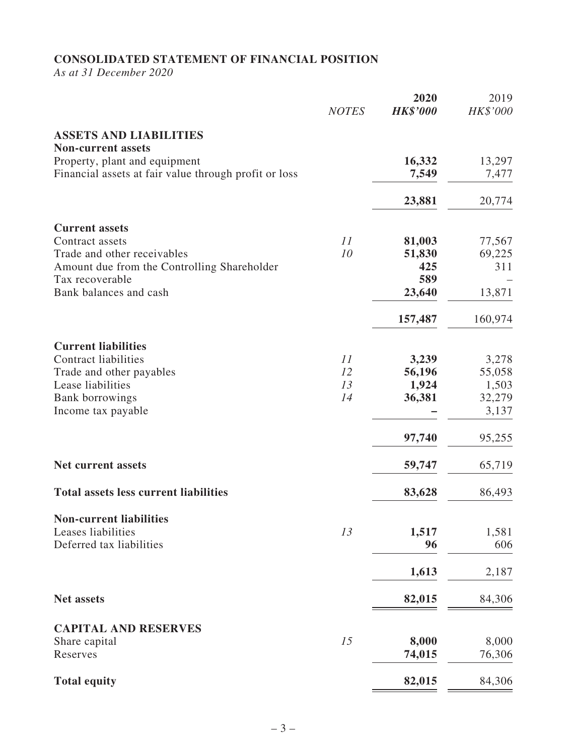# **CONSOLIDATED STATEMENT OF FINANCIAL POSITION**

*As at 31 December 2020*

|                                                            | <b>NOTES</b> | 2020<br><b>HK\$'000</b> | 2019<br>HK\$'000 |
|------------------------------------------------------------|--------------|-------------------------|------------------|
| <b>ASSETS AND LIABILITIES</b><br><b>Non-current assets</b> |              |                         |                  |
| Property, plant and equipment                              |              | 16,332                  | 13,297           |
| Financial assets at fair value through profit or loss      |              | 7,549                   | 7,477            |
|                                                            |              | 23,881                  | 20,774           |
| <b>Current assets</b>                                      |              |                         |                  |
| Contract assets                                            | 11           | 81,003                  | 77,567           |
| Trade and other receivables                                | 10           | 51,830                  | 69,225           |
| Amount due from the Controlling Shareholder                |              | 425                     | 311              |
| Tax recoverable                                            |              | 589                     |                  |
| Bank balances and cash                                     |              | 23,640                  | 13,871           |
|                                                            |              | 157,487                 | 160,974          |
| <b>Current liabilities</b>                                 |              |                         |                  |
| <b>Contract liabilities</b>                                | 11           | 3,239                   | 3,278            |
| Trade and other payables                                   | 12           | 56,196                  | 55,058           |
| Lease liabilities                                          | 13           | 1,924                   | 1,503            |
| <b>Bank borrowings</b>                                     | 14           | 36,381                  | 32,279           |
| Income tax payable                                         |              |                         | 3,137            |
|                                                            |              | 97,740                  | 95,255           |
| <b>Net current assets</b>                                  |              | 59,747                  | 65,719           |
| <b>Total assets less current liabilities</b>               |              | 83,628                  | 86,493           |
| <b>Non-current liabilities</b>                             |              |                         |                  |
| Leases liabilities                                         | 13           | 1,517                   | 1,581            |
| Deferred tax liabilities                                   |              | 96                      | 606              |
|                                                            |              |                         |                  |
|                                                            |              | 1,613                   | 2,187            |
| <b>Net assets</b>                                          |              | 82,015                  | 84,306           |
|                                                            |              |                         |                  |
| <b>CAPITAL AND RESERVES</b><br>Share capital               | 15           | 8,000                   | 8,000            |
| Reserves                                                   |              | 74,015                  | 76,306           |
|                                                            |              |                         |                  |
| <b>Total equity</b>                                        |              | 82,015                  | 84,306           |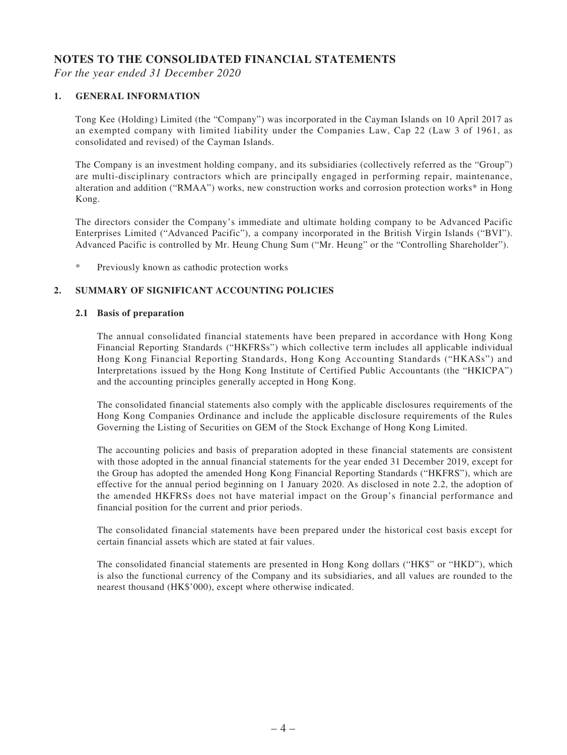### **NOTES TO THE CONSOLIDATED FINANCIAL STATEMENTS**

*For the year ended 31 December 2020*

#### **1. GENERAL INFORMATION**

Tong Kee (Holding) Limited (the "Company") was incorporated in the Cayman Islands on 10 April 2017 as an exempted company with limited liability under the Companies Law, Cap 22 (Law 3 of 1961, as consolidated and revised) of the Cayman Islands.

The Company is an investment holding company, and its subsidiaries (collectively referred as the "Group") are multi-disciplinary contractors which are principally engaged in performing repair, maintenance, alteration and addition ("RMAA") works, new construction works and corrosion protection works\* in Hong Kong.

The directors consider the Company's immediate and ultimate holding company to be Advanced Pacific Enterprises Limited ("Advanced Pacific"), a company incorporated in the British Virgin Islands ("BVI"). Advanced Pacific is controlled by Mr. Heung Chung Sum ("Mr. Heung" or the "Controlling Shareholder").

\* Previously known as cathodic protection works

#### **2. SUMMARY OF SIGNIFICANT ACCOUNTING POLICIES**

#### **2.1 Basis of preparation**

The annual consolidated financial statements have been prepared in accordance with Hong Kong Financial Reporting Standards ("HKFRSs") which collective term includes all applicable individual Hong Kong Financial Reporting Standards, Hong Kong Accounting Standards ("HKASs") and Interpretations issued by the Hong Kong Institute of Certified Public Accountants (the "HKICPA") and the accounting principles generally accepted in Hong Kong.

The consolidated financial statements also comply with the applicable disclosures requirements of the Hong Kong Companies Ordinance and include the applicable disclosure requirements of the Rules Governing the Listing of Securities on GEM of the Stock Exchange of Hong Kong Limited.

The accounting policies and basis of preparation adopted in these financial statements are consistent with those adopted in the annual financial statements for the year ended 31 December 2019, except for the Group has adopted the amended Hong Kong Financial Reporting Standards ("HKFRS"), which are effective for the annual period beginning on 1 January 2020. As disclosed in note 2.2, the adoption of the amended HKFRSs does not have material impact on the Group's financial performance and financial position for the current and prior periods.

The consolidated financial statements have been prepared under the historical cost basis except for certain financial assets which are stated at fair values.

The consolidated financial statements are presented in Hong Kong dollars ("HK\$" or "HKD"), which is also the functional currency of the Company and its subsidiaries, and all values are rounded to the nearest thousand (HK\$'000), except where otherwise indicated.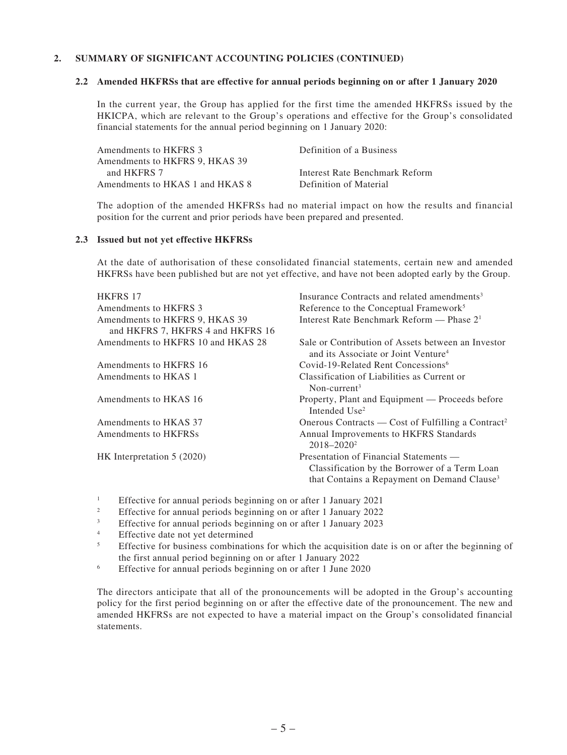#### **2. SUMMARY OF SIGNIFICANT ACCOUNTING POLICIES (CONTINUED)**

#### **2.2 Amended HKFRSs that are effective for annual periods beginning on or after 1 January 2020**

In the current year, the Group has applied for the first time the amended HKFRSs issued by the HKICPA, which are relevant to the Group's operations and effective for the Group's consolidated financial statements for the annual period beginning on 1 January 2020:

| Amendments to HKFRS 3           | Definition of a Business       |
|---------------------------------|--------------------------------|
| Amendments to HKFRS 9, HKAS 39  |                                |
| and HKFRS 7                     | Interest Rate Benchmark Reform |
| Amendments to HKAS 1 and HKAS 8 | Definition of Material         |
|                                 |                                |

The adoption of the amended HKFRSs had no material impact on how the results and financial position for the current and prior periods have been prepared and presented.

#### **2.3 Issued but not yet effective HKFRSs**

At the date of authorisation of these consolidated financial statements, certain new and amended HKFRSs have been published but are not yet effective, and have not been adopted early by the Group.

| <b>HKFRS 17</b>                                                     | Insurance Contracts and related amendments <sup>3</sup>                                                                                            |
|---------------------------------------------------------------------|----------------------------------------------------------------------------------------------------------------------------------------------------|
| Amendments to HKFRS 3                                               | Reference to the Conceptual Framework <sup>5</sup>                                                                                                 |
| Amendments to HKFRS 9, HKAS 39<br>and HKFRS 7, HKFRS 4 and HKFRS 16 | Interest Rate Benchmark Reform — Phase $21$                                                                                                        |
| Amendments to HKFRS 10 and HKAS 28                                  | Sale or Contribution of Assets between an Investor<br>and its Associate or Joint Venture <sup>4</sup>                                              |
| Amendments to HKFRS 16                                              | Covid-19-Related Rent Concessions <sup>6</sup>                                                                                                     |
| Amendments to HKAS 1                                                | Classification of Liabilities as Current or<br>Non-current <sup>3</sup>                                                                            |
| Amendments to HKAS 16                                               | Property, Plant and Equipment — Proceeds before<br>Intended Use <sup>2</sup>                                                                       |
| Amendments to HKAS 37                                               | Onerous Contracts — Cost of Fulfilling a Contract <sup>2</sup>                                                                                     |
| Amendments to HKFRSs                                                | Annual Improvements to HKFRS Standards<br>$2018 - 2020^2$                                                                                          |
| HK Interpretation 5 (2020)                                          | Presentation of Financial Statements —<br>Classification by the Borrower of a Term Loan<br>that Contains a Repayment on Demand Clause <sup>3</sup> |

- <sup>1</sup> Effective for annual periods beginning on or after 1 January 2021
- <sup>2</sup> Effective for annual periods beginning on or after 1 January 2022<br>Effective for annual periods beginning on or after 1 January 2022
- <sup>3</sup> Effective for annual periods beginning on or after 1 January 2023
- <sup>4</sup> Effective date not yet determined
- <sup>5</sup> Effective for business combinations for which the acquisition date is on or after the beginning of the first annual period beginning on or after 1 January 2022
- <sup>6</sup> Effective for annual periods beginning on or after 1 June 2020

The directors anticipate that all of the pronouncements will be adopted in the Group's accounting policy for the first period beginning on or after the effective date of the pronouncement. The new and amended HKFRSs are not expected to have a material impact on the Group's consolidated financial statements.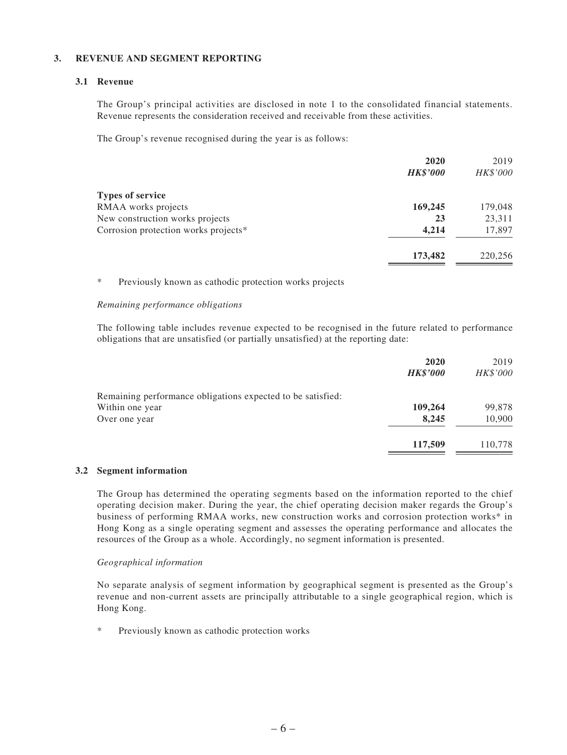#### **3. REVENUE AND SEGMENT REPORTING**

#### **3.1 Revenue**

The Group's principal activities are disclosed in note 1 to the consolidated financial statements. Revenue represents the consideration received and receivable from these activities.

The Group's revenue recognised during the year is as follows:

|                                      | 2020            | 2019     |
|--------------------------------------|-----------------|----------|
|                                      | <b>HK\$'000</b> | HK\$'000 |
| <b>Types of service</b>              |                 |          |
| RMAA works projects                  | 169,245         | 179,048  |
| New construction works projects      | 23              | 23,311   |
| Corrosion protection works projects* | 4,214           | 17,897   |
|                                      | 173,482         | 220,256  |

\* Previously known as cathodic protection works projects

#### *Remaining performance obligations*

The following table includes revenue expected to be recognised in the future related to performance obligations that are unsatisfied (or partially unsatisfied) at the reporting date:

|                                                             | 2020            | 2019     |
|-------------------------------------------------------------|-----------------|----------|
|                                                             | <b>HK\$'000</b> | HK\$'000 |
| Remaining performance obligations expected to be satisfied: |                 |          |
| Within one year                                             | 109,264         | 99,878   |
| Over one year                                               | 8,245           | 10,900   |
|                                                             | 117,509         | 110,778  |

#### **3.2 Segment information**

The Group has determined the operating segments based on the information reported to the chief operating decision maker. During the year, the chief operating decision maker regards the Group's business of performing RMAA works, new construction works and corrosion protection works\* in Hong Kong as a single operating segment and assesses the operating performance and allocates the resources of the Group as a whole. Accordingly, no segment information is presented.

#### *Geographical information*

No separate analysis of segment information by geographical segment is presented as the Group's revenue and non-current assets are principally attributable to a single geographical region, which is Hong Kong.

Previously known as cathodic protection works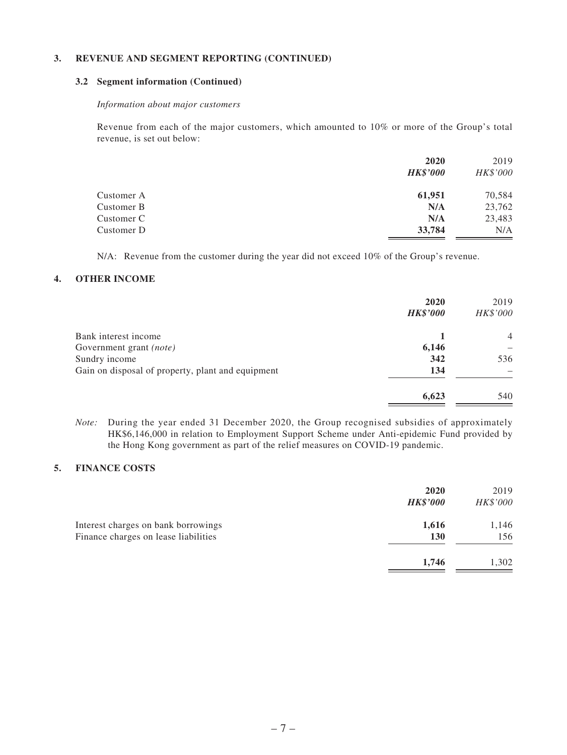#### **3. REVENUE AND SEGMENT REPORTING (CONTINUED)**

#### **3.2 Segment information (Continued)**

#### *Information about major customers*

Revenue from each of the major customers, which amounted to 10% or more of the Group's total revenue, is set out below:

|            | 2020            | 2019     |
|------------|-----------------|----------|
|            | <b>HK\$'000</b> | HK\$'000 |
| Customer A | 61,951          | 70,584   |
| Customer B | N/A             | 23,762   |
| Customer C | N/A             | 23,483   |
| Customer D | 33,784          | N/A      |

N/A: Revenue from the customer during the year did not exceed 10% of the Group's revenue.

#### **4. OTHER INCOME**

|                                                   | 2020            | 2019           |
|---------------------------------------------------|-----------------|----------------|
|                                                   | <b>HK\$'000</b> | HK\$'000       |
| Bank interest income                              |                 | $\overline{4}$ |
| Government grant (note)                           | 6,146           |                |
| Sundry income                                     | 342             | 536            |
| Gain on disposal of property, plant and equipment | 134             |                |
|                                                   | 6,623           | 540            |

*Note:* During the year ended 31 December 2020, the Group recognised subsidies of approximately HK\$6,146,000 in relation to Employment Support Scheme under Anti-epidemic Fund provided by the Hong Kong government as part of the relief measures on COVID-19 pandemic.

#### **5. FINANCE COSTS**

|                                                                             | 2020<br><b>HK\$'000</b> | 2019<br>HK\$'000 |
|-----------------------------------------------------------------------------|-------------------------|------------------|
| Interest charges on bank borrowings<br>Finance charges on lease liabilities | 1,616<br>130            | 1,146<br>156     |
|                                                                             | 1,746                   | 1,302            |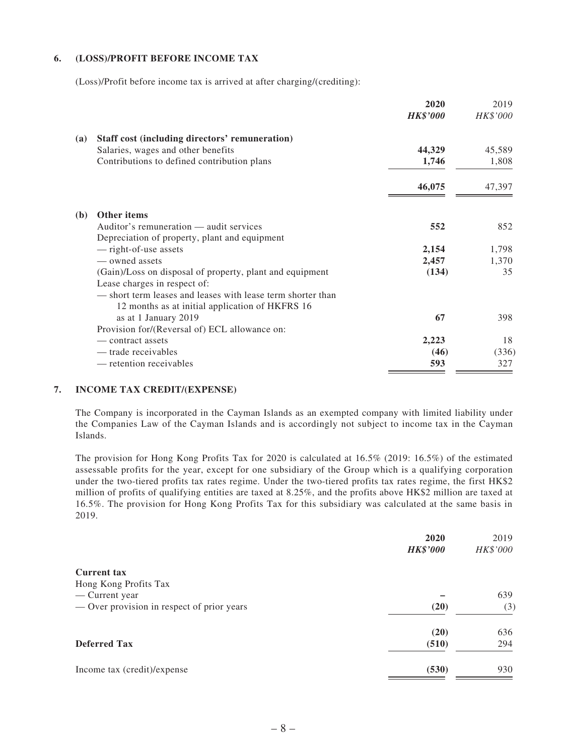#### **6. (LOSS)/PROFIT BEFORE INCOME TAX**

(Loss)/Profit before income tax is arrived at after charging/(crediting):

|            |                                                             | 2020            | 2019     |
|------------|-------------------------------------------------------------|-----------------|----------|
|            |                                                             | <b>HK\$'000</b> | HK\$'000 |
| <b>(a)</b> | Staff cost (including directors' remuneration)              |                 |          |
|            | Salaries, wages and other benefits                          | 44,329          | 45,589   |
|            | Contributions to defined contribution plans                 | 1,746           | 1,808    |
|            |                                                             | 46,075          | 47,397   |
| (b)        | <b>Other items</b>                                          |                 |          |
|            | Auditor's remuneration — audit services                     | 552             | 852      |
|            | Depreciation of property, plant and equipment               |                 |          |
|            | - right-of-use assets                                       | 2,154           | 1,798    |
|            | — owned assets                                              | 2,457           | 1,370    |
|            |                                                             |                 | 35       |
|            | (Gain)/Loss on disposal of property, plant and equipment    | (134)           |          |
|            | Lease charges in respect of:                                |                 |          |
|            | — short term leases and leases with lease term shorter than |                 |          |
|            | 12 months as at initial application of HKFRS 16             |                 |          |
|            | as at 1 January 2019                                        | 67              | 398      |
|            | Provision for/(Reversal of) ECL allowance on:               |                 |          |
|            | — contract assets                                           | 2,223           | 18       |
|            | — trade receivables                                         | (46)            | (336)    |
|            | — retention receivables                                     | 593             | 327      |

#### **7. INCOME TAX CREDIT/(EXPENSE)**

The Company is incorporated in the Cayman Islands as an exempted company with limited liability under the Companies Law of the Cayman Islands and is accordingly not subject to income tax in the Cayman Islands.

The provision for Hong Kong Profits Tax for 2020 is calculated at 16.5% (2019: 16.5%) of the estimated assessable profits for the year, except for one subsidiary of the Group which is a qualifying corporation under the two-tiered profits tax rates regime. Under the two-tiered profits tax rates regime, the first HK\$2 million of profits of qualifying entities are taxed at 8.25%, and the profits above HK\$2 million are taxed at 16.5%. The provision for Hong Kong Profits Tax for this subsidiary was calculated at the same basis in 2019.

| 2020            | 2019     |
|-----------------|----------|
| <b>HK\$'000</b> | HK\$'000 |
|                 |          |
|                 |          |
|                 | 639      |
| (20)            | (3)      |
| (20)            | 636      |
| (510)           | 294      |
| (530)           | 930      |
|                 |          |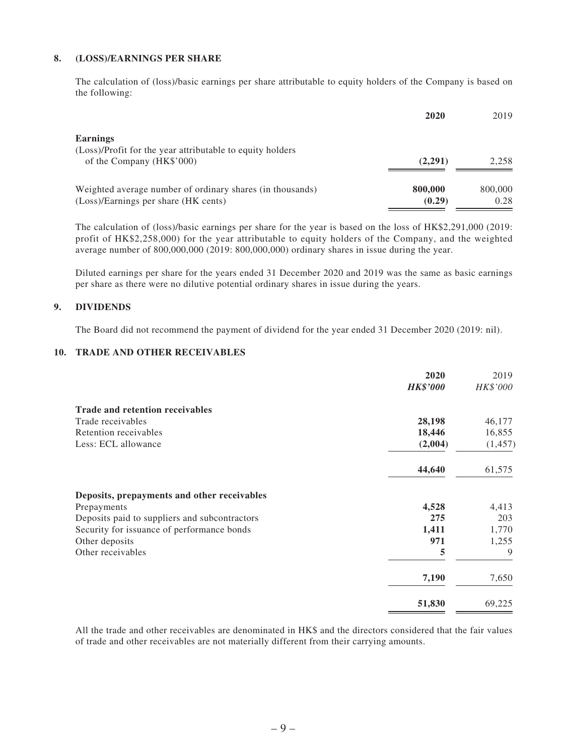#### **8. (LOSS)/EARNINGS PER SHARE**

The calculation of (loss)/basic earnings per share attributable to equity holders of the Company is based on the following:

|                                                                                                   | 2020              | 2019            |
|---------------------------------------------------------------------------------------------------|-------------------|-----------------|
| <b>Earnings</b><br>(Loss)/Profit for the year attributable to equity holders                      |                   |                 |
| of the Company (HK\$'000)                                                                         | (2,291)           | 2.258           |
| Weighted average number of ordinary shares (in thousands)<br>(Loss)/Earnings per share (HK cents) | 800,000<br>(0.29) | 800,000<br>0.28 |

The calculation of (loss)/basic earnings per share for the year is based on the loss of HK\$2,291,000 (2019: profit of HK\$2,258,000) for the year attributable to equity holders of the Company, and the weighted average number of 800,000,000 (2019: 800,000,000) ordinary shares in issue during the year.

Diluted earnings per share for the years ended 31 December 2020 and 2019 was the same as basic earnings per share as there were no dilutive potential ordinary shares in issue during the years.

#### **9. DIVIDENDS**

The Board did not recommend the payment of dividend for the year ended 31 December 2020 (2019: nil).

#### **10. TRADE AND OTHER RECEIVABLES**

|                                               | 2020            | 2019     |
|-----------------------------------------------|-----------------|----------|
|                                               | <b>HK\$'000</b> | HK\$'000 |
| <b>Trade and retention receivables</b>        |                 |          |
| Trade receivables                             | 28,198          | 46,177   |
| Retention receivables                         | 18,446          | 16,855   |
| Less: ECL allowance                           | (2,004)         | (1, 457) |
|                                               | 44,640          | 61,575   |
| Deposits, prepayments and other receivables   |                 |          |
| Prepayments                                   | 4,528           | 4,413    |
| Deposits paid to suppliers and subcontractors | 275             | 203      |
| Security for issuance of performance bonds    | 1,411           | 1,770    |
| Other deposits                                | 971             | 1,255    |
| Other receivables                             | 5               | 9        |
|                                               | 7,190           | 7,650    |
|                                               | 51,830          | 69,225   |

All the trade and other receivables are denominated in HK\$ and the directors considered that the fair values of trade and other receivables are not materially different from their carrying amounts.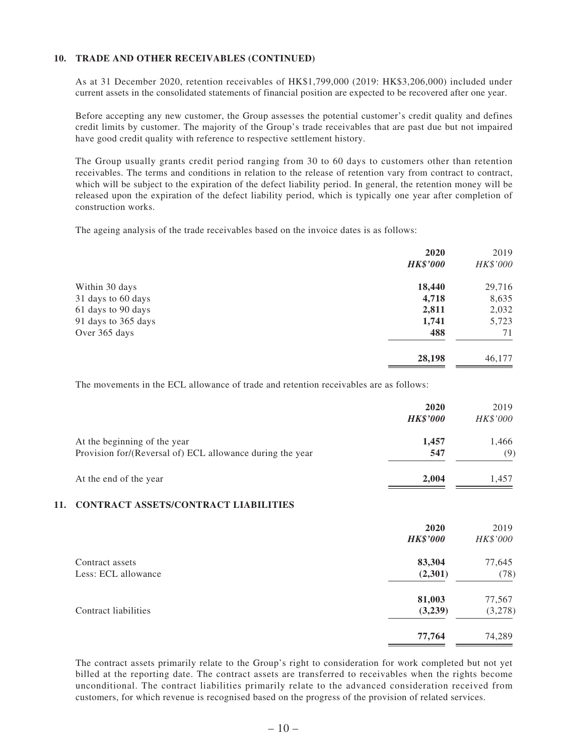#### **10. TRADE AND OTHER RECEIVABLES (CONTINUED)**

As at 31 December 2020, retention receivables of HK\$1,799,000 (2019: HK\$3,206,000) included under current assets in the consolidated statements of financial position are expected to be recovered after one year.

Before accepting any new customer, the Group assesses the potential customer's credit quality and defines credit limits by customer. The majority of the Group's trade receivables that are past due but not impaired have good credit quality with reference to respective settlement history.

The Group usually grants credit period ranging from 30 to 60 days to customers other than retention receivables. The terms and conditions in relation to the release of retention vary from contract to contract, which will be subject to the expiration of the defect liability period. In general, the retention money will be released upon the expiration of the defect liability period, which is typically one year after completion of construction works.

The ageing analysis of the trade receivables based on the invoice dates is as follows:

|                     | 2020            | 2019     |
|---------------------|-----------------|----------|
|                     | <b>HK\$'000</b> | HK\$'000 |
| Within 30 days      | 18,440          | 29,716   |
| 31 days to 60 days  | 4,718           | 8,635    |
| 61 days to 90 days  | 2,811           | 2,032    |
| 91 days to 365 days | 1,741           | 5,723    |
| Over 365 days       | 488             | 71       |
|                     | 28,198          | 46,177   |

The movements in the ECL allowance of trade and retention receivables are as follows:

|                                                                                           | 2020<br><b>HK\$'000</b> | 2019<br>HK\$'000 |
|-------------------------------------------------------------------------------------------|-------------------------|------------------|
| At the beginning of the year<br>Provision for/(Reversal of) ECL allowance during the year | 1.457<br>547            | 1.466<br>(9)     |
| At the end of the year                                                                    | 2,004                   | 1.457            |

#### **11. CONTRACT ASSETS/CONTRACT LIABILITIES**

|                      | 2020            | 2019     |
|----------------------|-----------------|----------|
|                      | <b>HK\$'000</b> | HK\$'000 |
| Contract assets      | 83,304          | 77,645   |
| Less: ECL allowance  | (2,301)         | (78)     |
|                      | 81,003          | 77,567   |
| Contract liabilities | (3,239)         | (3,278)  |
|                      | 77,764          | 74,289   |
|                      |                 |          |

The contract assets primarily relate to the Group's right to consideration for work completed but not yet billed at the reporting date. The contract assets are transferred to receivables when the rights become unconditional. The contract liabilities primarily relate to the advanced consideration received from customers, for which revenue is recognised based on the progress of the provision of related services.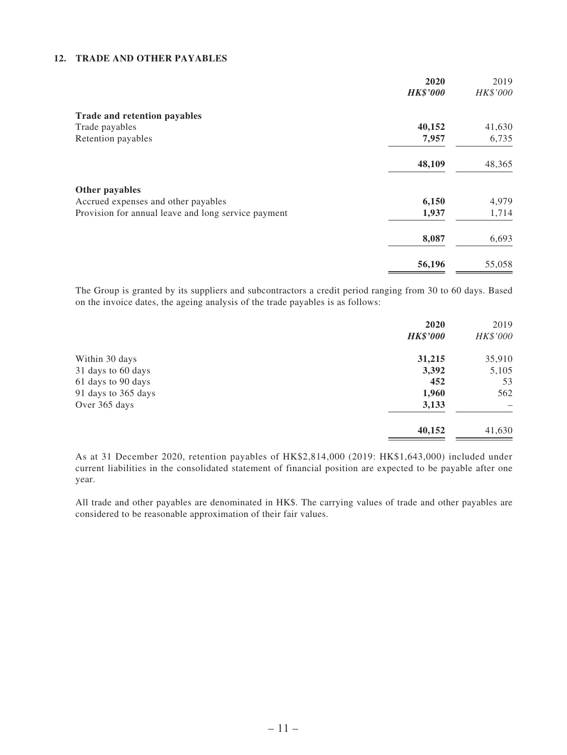#### **12. TRADE AND OTHER PAYABLES**

|                                                     | 2020<br><b>HK\$'000</b> | 2019<br>HK\$'000 |
|-----------------------------------------------------|-------------------------|------------------|
|                                                     |                         |                  |
| Trade and retention payables                        |                         |                  |
| Trade payables                                      | 40,152                  | 41,630           |
| Retention payables                                  | 7,957                   | 6,735            |
|                                                     | 48,109                  | 48,365           |
| Other payables                                      |                         |                  |
| Accrued expenses and other payables                 | 6,150                   | 4,979            |
| Provision for annual leave and long service payment | 1,937                   | 1,714            |
|                                                     | 8,087                   | 6,693            |
|                                                     | 56,196                  | 55,058           |

The Group is granted by its suppliers and subcontractors a credit period ranging from 30 to 60 days. Based on the invoice dates, the ageing analysis of the trade payables is as follows:

|                     | 2020            | 2019     |
|---------------------|-----------------|----------|
|                     | <b>HK\$'000</b> | HK\$'000 |
| Within 30 days      | 31,215          | 35,910   |
| 31 days to 60 days  | 3,392           | 5,105    |
| 61 days to 90 days  | 452             | 53       |
| 91 days to 365 days | 1,960           | 562      |
| Over 365 days       | 3,133           |          |
|                     | 40,152          | 41,630   |

As at 31 December 2020, retention payables of HK\$2,814,000 (2019: HK\$1,643,000) included under current liabilities in the consolidated statement of financial position are expected to be payable after one year.

All trade and other payables are denominated in HK\$. The carrying values of trade and other payables are considered to be reasonable approximation of their fair values.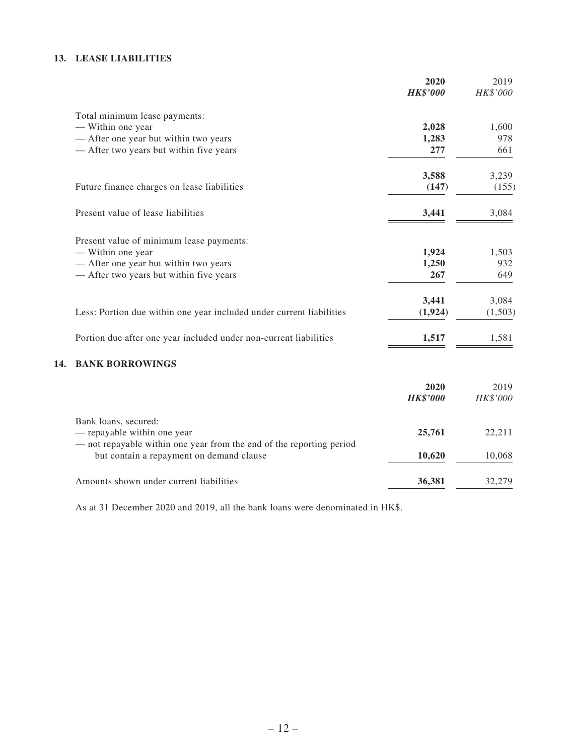#### **13. LEASE LIABILITIES**

|     |                                                                                                     | 2020            | 2019     |
|-----|-----------------------------------------------------------------------------------------------------|-----------------|----------|
|     |                                                                                                     | <b>HK\$'000</b> | HK\$'000 |
|     | Total minimum lease payments:                                                                       |                 |          |
|     | - Within one year                                                                                   | 2,028           | 1,600    |
|     | - After one year but within two years                                                               | 1,283           | 978      |
|     | - After two years but within five years                                                             | 277             | 661      |
|     |                                                                                                     | 3,588           | 3,239    |
|     | Future finance charges on lease liabilities                                                         | (147)           | (155)    |
|     | Present value of lease liabilities                                                                  | 3,441           | 3,084    |
|     | Present value of minimum lease payments:                                                            |                 |          |
|     | - Within one year                                                                                   | 1,924           | 1,503    |
|     | - After one year but within two years                                                               | 1,250           | 932      |
|     | - After two years but within five years                                                             | 267             | 649      |
|     |                                                                                                     | 3,441           | 3,084    |
|     | Less: Portion due within one year included under current liabilities                                | (1,924)         | (1,503)  |
|     | Portion due after one year included under non-current liabilities                                   | 1,517           | 1,581    |
| 14. | <b>BANK BORROWINGS</b>                                                                              |                 |          |
|     |                                                                                                     | 2020            | 2019     |
|     |                                                                                                     | <b>HK\$'000</b> | HK\$'000 |
|     | Bank loans, secured:                                                                                |                 |          |
|     | - repayable within one year<br>- not repayable within one year from the end of the reporting period | 25,761          | 22,211   |
|     | but contain a repayment on demand clause                                                            | 10,620          | 10,068   |
|     | Amounts shown under current liabilities                                                             | 36,381          | 32,279   |

As at 31 December 2020 and 2019, all the bank loans were denominated in HK\$.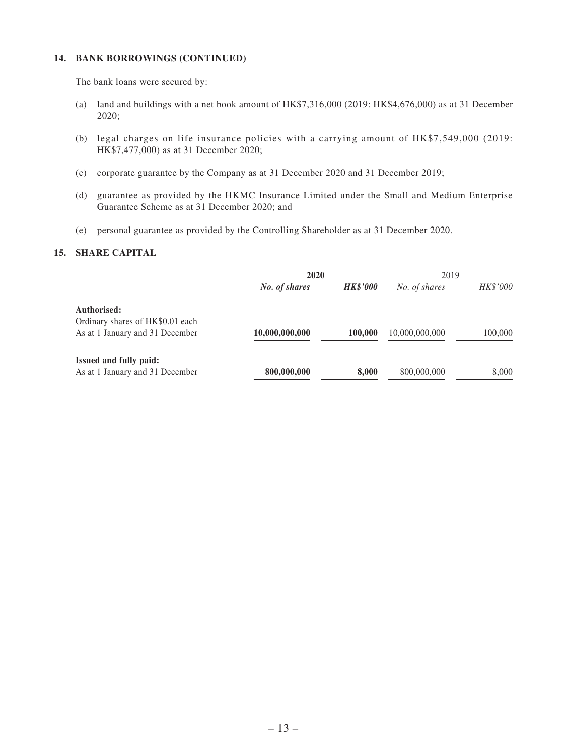#### **14. BANK BORROWINGS (CONTINUED)**

The bank loans were secured by:

- (a) land and buildings with a net book amount of HK\$7,316,000 (2019: HK\$4,676,000) as at 31 December 2020;
- (b) legal charges on life insurance policies with a carrying amount of HK\$7,549,000 (2019: HK\$7,477,000) as at 31 December 2020;
- (c) corporate guarantee by the Company as at 31 December 2020 and 31 December 2019;
- (d) guarantee as provided by the HKMC Insurance Limited under the Small and Medium Enterprise Guarantee Scheme as at 31 December 2020; and
- (e) personal guarantee as provided by the Controlling Shareholder as at 31 December 2020.

#### **15. SHARE CAPITAL**

|                                  | 2020           |                 | 2019           |          |
|----------------------------------|----------------|-----------------|----------------|----------|
|                                  | No. of shares  | <b>HK\$'000</b> | No. of shares  | HK\$'000 |
| Authorised:                      |                |                 |                |          |
| Ordinary shares of HK\$0.01 each |                |                 |                |          |
| As at 1 January and 31 December  | 10,000,000,000 | 100.000         | 10,000,000,000 | 100,000  |
| Issued and fully paid:           |                |                 |                |          |
| As at 1 January and 31 December  | 800,000,000    | 8,000           | 800,000,000    | 8,000    |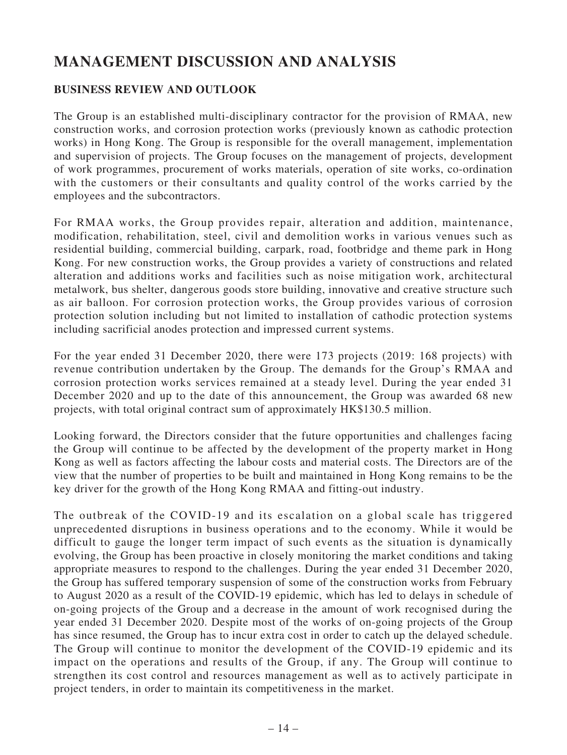# **MANAGEMENT DISCUSSION AND ANALYSIS**

## **BUSINESS REVIEW AND OUTLOOK**

The Group is an established multi-disciplinary contractor for the provision of RMAA, new construction works, and corrosion protection works (previously known as cathodic protection works) in Hong Kong. The Group is responsible for the overall management, implementation and supervision of projects. The Group focuses on the management of projects, development of work programmes, procurement of works materials, operation of site works, co-ordination with the customers or their consultants and quality control of the works carried by the employees and the subcontractors.

For RMAA works, the Group provides repair, alteration and addition, maintenance, modification, rehabilitation, steel, civil and demolition works in various venues such as residential building, commercial building, carpark, road, footbridge and theme park in Hong Kong. For new construction works, the Group provides a variety of constructions and related alteration and additions works and facilities such as noise mitigation work, architectural metalwork, bus shelter, dangerous goods store building, innovative and creative structure such as air balloon. For corrosion protection works, the Group provides various of corrosion protection solution including but not limited to installation of cathodic protection systems including sacrificial anodes protection and impressed current systems.

For the year ended 31 December 2020, there were 173 projects (2019: 168 projects) with revenue contribution undertaken by the Group. The demands for the Group's RMAA and corrosion protection works services remained at a steady level. During the year ended 31 December 2020 and up to the date of this announcement, the Group was awarded 68 new projects, with total original contract sum of approximately HK\$130.5 million.

Looking forward, the Directors consider that the future opportunities and challenges facing the Group will continue to be affected by the development of the property market in Hong Kong as well as factors affecting the labour costs and material costs. The Directors are of the view that the number of properties to be built and maintained in Hong Kong remains to be the key driver for the growth of the Hong Kong RMAA and fitting-out industry.

The outbreak of the COVID-19 and its escalation on a global scale has triggered unprecedented disruptions in business operations and to the economy. While it would be difficult to gauge the longer term impact of such events as the situation is dynamically evolving, the Group has been proactive in closely monitoring the market conditions and taking appropriate measures to respond to the challenges. During the year ended 31 December 2020, the Group has suffered temporary suspension of some of the construction works from February to August 2020 as a result of the COVID-19 epidemic, which has led to delays in schedule of on-going projects of the Group and a decrease in the amount of work recognised during the year ended 31 December 2020. Despite most of the works of on-going projects of the Group has since resumed, the Group has to incur extra cost in order to catch up the delayed schedule. The Group will continue to monitor the development of the COVID-19 epidemic and its impact on the operations and results of the Group, if any. The Group will continue to strengthen its cost control and resources management as well as to actively participate in project tenders, in order to maintain its competitiveness in the market.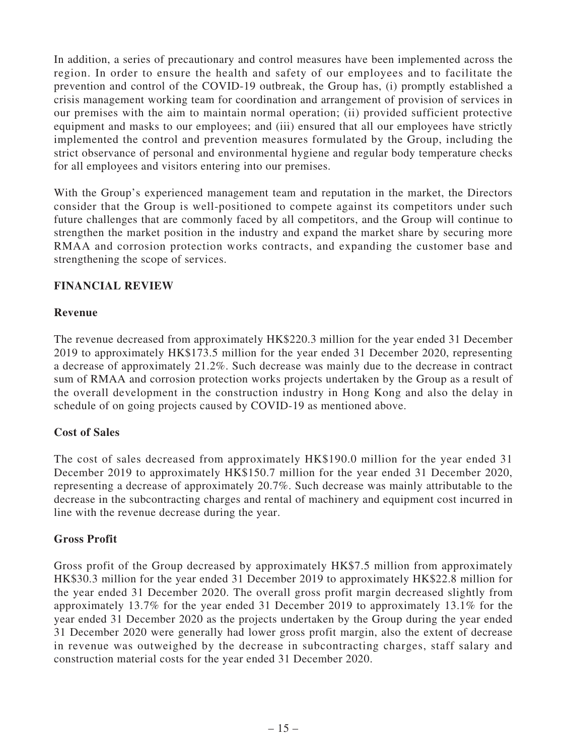In addition, a series of precautionary and control measures have been implemented across the region. In order to ensure the health and safety of our employees and to facilitate the prevention and control of the COVID-19 outbreak, the Group has, (i) promptly established a crisis management working team for coordination and arrangement of provision of services in our premises with the aim to maintain normal operation; (ii) provided sufficient protective equipment and masks to our employees; and (iii) ensured that all our employees have strictly implemented the control and prevention measures formulated by the Group, including the strict observance of personal and environmental hygiene and regular body temperature checks for all employees and visitors entering into our premises.

With the Group's experienced management team and reputation in the market, the Directors consider that the Group is well-positioned to compete against its competitors under such future challenges that are commonly faced by all competitors, and the Group will continue to strengthen the market position in the industry and expand the market share by securing more RMAA and corrosion protection works contracts, and expanding the customer base and strengthening the scope of services.

## **FINANCIAL REVIEW**

### **Revenue**

The revenue decreased from approximately HK\$220.3 million for the year ended 31 December 2019 to approximately HK\$173.5 million for the year ended 31 December 2020, representing a decrease of approximately 21.2%. Such decrease was mainly due to the decrease in contract sum of RMAA and corrosion protection works projects undertaken by the Group as a result of the overall development in the construction industry in Hong Kong and also the delay in schedule of on going projects caused by COVID-19 as mentioned above.

### **Cost of Sales**

The cost of sales decreased from approximately HK\$190.0 million for the year ended 31 December 2019 to approximately HK\$150.7 million for the year ended 31 December 2020, representing a decrease of approximately 20.7%. Such decrease was mainly attributable to the decrease in the subcontracting charges and rental of machinery and equipment cost incurred in line with the revenue decrease during the year.

### **Gross Profit**

Gross profit of the Group decreased by approximately HK\$7.5 million from approximately HK\$30.3 million for the year ended 31 December 2019 to approximately HK\$22.8 million for the year ended 31 December 2020. The overall gross profit margin decreased slightly from approximately 13.7% for the year ended 31 December 2019 to approximately 13.1% for the year ended 31 December 2020 as the projects undertaken by the Group during the year ended 31 December 2020 were generally had lower gross profit margin, also the extent of decrease in revenue was outweighed by the decrease in subcontracting charges, staff salary and construction material costs for the year ended 31 December 2020.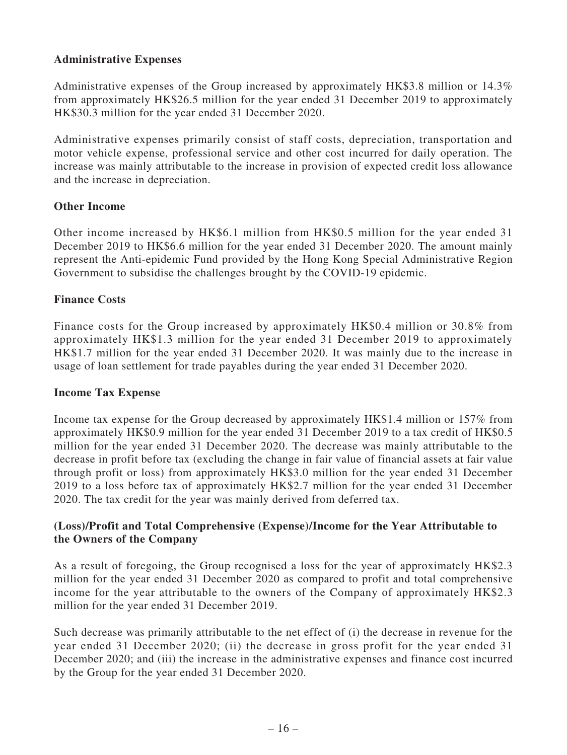### **Administrative Expenses**

Administrative expenses of the Group increased by approximately HK\$3.8 million or 14.3% from approximately HK\$26.5 million for the year ended 31 December 2019 to approximately HK\$30.3 million for the year ended 31 December 2020.

Administrative expenses primarily consist of staff costs, depreciation, transportation and motor vehicle expense, professional service and other cost incurred for daily operation. The increase was mainly attributable to the increase in provision of expected credit loss allowance and the increase in depreciation.

### **Other Income**

Other income increased by HK\$6.1 million from HK\$0.5 million for the year ended 31 December 2019 to HK\$6.6 million for the year ended 31 December 2020. The amount mainly represent the Anti-epidemic Fund provided by the Hong Kong Special Administrative Region Government to subsidise the challenges brought by the COVID-19 epidemic.

### **Finance Costs**

Finance costs for the Group increased by approximately HK\$0.4 million or 30.8% from approximately HK\$1.3 million for the year ended 31 December 2019 to approximately HK\$1.7 million for the year ended 31 December 2020. It was mainly due to the increase in usage of loan settlement for trade payables during the year ended 31 December 2020.

#### **Income Tax Expense**

Income tax expense for the Group decreased by approximately HK\$1.4 million or 157% from approximately HK\$0.9 million for the year ended 31 December 2019 to a tax credit of HK\$0.5 million for the year ended 31 December 2020. The decrease was mainly attributable to the decrease in profit before tax (excluding the change in fair value of financial assets at fair value through profit or loss) from approximately HK\$3.0 million for the year ended 31 December 2019 to a loss before tax of approximately HK\$2.7 million for the year ended 31 December 2020. The tax credit for the year was mainly derived from deferred tax.

### **(Loss)/Profit and Total Comprehensive (Expense)/Income for the Year Attributable to the Owners of the Company**

As a result of foregoing, the Group recognised a loss for the year of approximately HK\$2.3 million for the year ended 31 December 2020 as compared to profit and total comprehensive income for the year attributable to the owners of the Company of approximately HK\$2.3 million for the year ended 31 December 2019.

Such decrease was primarily attributable to the net effect of (i) the decrease in revenue for the year ended 31 December 2020; (ii) the decrease in gross profit for the year ended 31 December 2020; and (iii) the increase in the administrative expenses and finance cost incurred by the Group for the year ended 31 December 2020.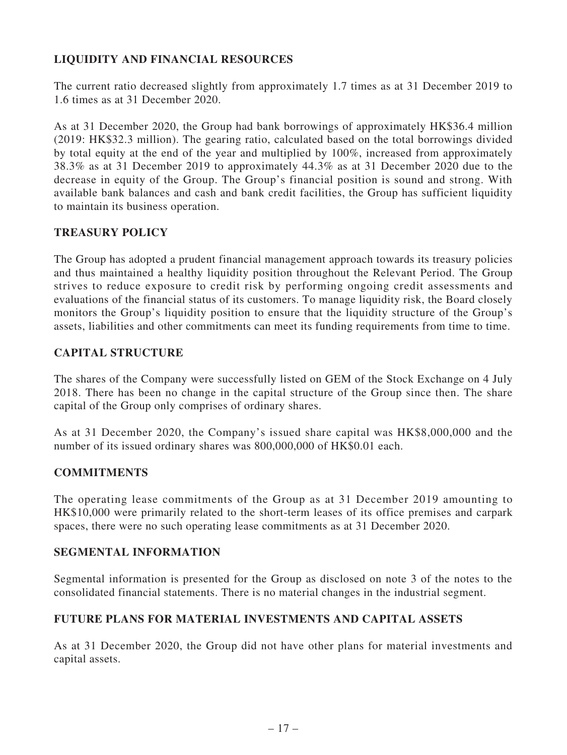# **LIQUIDITY AND FINANCIAL RESOURCES**

The current ratio decreased slightly from approximately 1.7 times as at 31 December 2019 to 1.6 times as at 31 December 2020.

As at 31 December 2020, the Group had bank borrowings of approximately HK\$36.4 million (2019: HK\$32.3 million). The gearing ratio, calculated based on the total borrowings divided by total equity at the end of the year and multiplied by 100%, increased from approximately 38.3% as at 31 December 2019 to approximately 44.3% as at 31 December 2020 due to the decrease in equity of the Group. The Group's financial position is sound and strong. With available bank balances and cash and bank credit facilities, the Group has sufficient liquidity to maintain its business operation.

### **TREASURY POLICY**

The Group has adopted a prudent financial management approach towards its treasury policies and thus maintained a healthy liquidity position throughout the Relevant Period. The Group strives to reduce exposure to credit risk by performing ongoing credit assessments and evaluations of the financial status of its customers. To manage liquidity risk, the Board closely monitors the Group's liquidity position to ensure that the liquidity structure of the Group's assets, liabilities and other commitments can meet its funding requirements from time to time.

### **CAPITAL STRUCTURE**

The shares of the Company were successfully listed on GEM of the Stock Exchange on 4 July 2018. There has been no change in the capital structure of the Group since then. The share capital of the Group only comprises of ordinary shares.

As at 31 December 2020, the Company's issued share capital was HK\$8,000,000 and the number of its issued ordinary shares was 800,000,000 of HK\$0.01 each.

#### **COMMITMENTS**

The operating lease commitments of the Group as at 31 December 2019 amounting to HK\$10,000 were primarily related to the short-term leases of its office premises and carpark spaces, there were no such operating lease commitments as at 31 December 2020.

#### **SEGMENTAL INFORMATION**

Segmental information is presented for the Group as disclosed on note 3 of the notes to the consolidated financial statements. There is no material changes in the industrial segment.

### **FUTURE PLANS FOR MATERIAL INVESTMENTS AND CAPITAL ASSETS**

As at 31 December 2020, the Group did not have other plans for material investments and capital assets.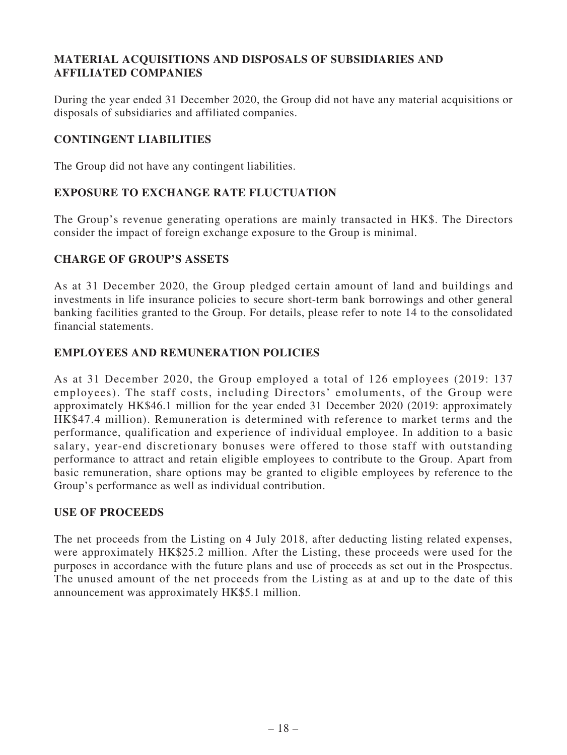# **MATERIAL ACQUISITIONS AND DISPOSALS OF SUBSIDIARIES AND AFFILIATED COMPANIES**

During the year ended 31 December 2020, the Group did not have any material acquisitions or disposals of subsidiaries and affiliated companies.

# **CONTINGENT LIABILITIES**

The Group did not have any contingent liabilities.

# **EXPOSURE TO EXCHANGE RATE FLUCTUATION**

The Group's revenue generating operations are mainly transacted in HK\$. The Directors consider the impact of foreign exchange exposure to the Group is minimal.

## **CHARGE OF GROUP'S ASSETS**

As at 31 December 2020, the Group pledged certain amount of land and buildings and investments in life insurance policies to secure short-term bank borrowings and other general banking facilities granted to the Group. For details, please refer to note 14 to the consolidated financial statements.

## **EMPLOYEES AND REMUNERATION POLICIES**

As at 31 December 2020, the Group employed a total of 126 employees (2019: 137 employees). The staff costs, including Directors' emoluments, of the Group were approximately HK\$46.1 million for the year ended 31 December 2020 (2019: approximately HK\$47.4 million). Remuneration is determined with reference to market terms and the performance, qualification and experience of individual employee. In addition to a basic salary, year-end discretionary bonuses were offered to those staff with outstanding performance to attract and retain eligible employees to contribute to the Group. Apart from basic remuneration, share options may be granted to eligible employees by reference to the Group's performance as well as individual contribution.

### **USE OF PROCEEDS**

The net proceeds from the Listing on 4 July 2018, after deducting listing related expenses, were approximately HK\$25.2 million. After the Listing, these proceeds were used for the purposes in accordance with the future plans and use of proceeds as set out in the Prospectus. The unused amount of the net proceeds from the Listing as at and up to the date of this announcement was approximately HK\$5.1 million.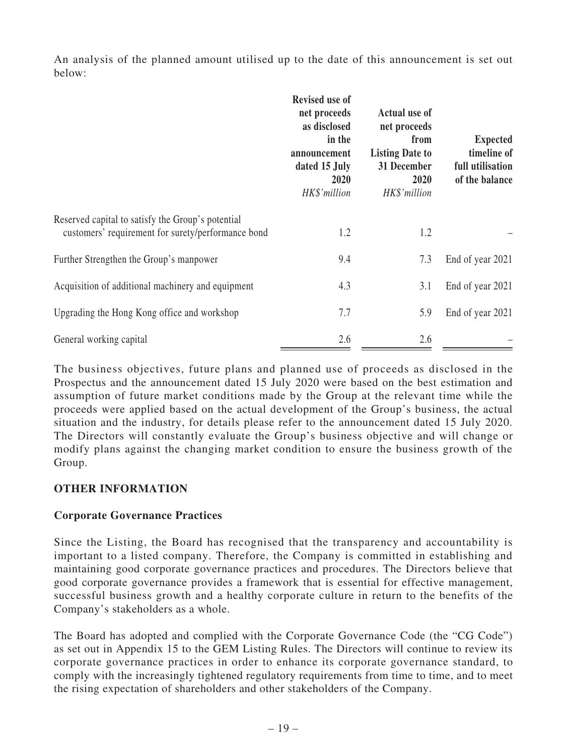An analysis of the planned amount utilised up to the date of this announcement is set out below:

|                                                                                                         | <b>Revised use of</b><br>net proceeds<br>as disclosed<br>in the<br>announcement<br>dated 15 July<br>2020<br>HK\$'million | <b>Actual use of</b><br>net proceeds<br>from<br><b>Listing Date to</b><br>31 December<br>2020<br>HK\$'million | <b>Expected</b><br>timeline of<br>full utilisation<br>of the balance |
|---------------------------------------------------------------------------------------------------------|--------------------------------------------------------------------------------------------------------------------------|---------------------------------------------------------------------------------------------------------------|----------------------------------------------------------------------|
| Reserved capital to satisfy the Group's potential<br>customers' requirement for surety/performance bond | 1.2                                                                                                                      | 1.2                                                                                                           |                                                                      |
| Further Strengthen the Group's manpower                                                                 | 9.4                                                                                                                      | 7.3                                                                                                           | End of year 2021                                                     |
| Acquisition of additional machinery and equipment                                                       | 4.3                                                                                                                      | 3.1                                                                                                           | End of year 2021                                                     |
| Upgrading the Hong Kong office and workshop                                                             | 7.7                                                                                                                      | 5.9                                                                                                           | End of year 2021                                                     |
| General working capital                                                                                 | 2.6                                                                                                                      | 2.6                                                                                                           |                                                                      |

The business objectives, future plans and planned use of proceeds as disclosed in the Prospectus and the announcement dated 15 July 2020 were based on the best estimation and assumption of future market conditions made by the Group at the relevant time while the proceeds were applied based on the actual development of the Group's business, the actual situation and the industry, for details please refer to the announcement dated 15 July 2020. The Directors will constantly evaluate the Group's business objective and will change or modify plans against the changing market condition to ensure the business growth of the Group.

# **OTHER INFORMATION**

# **Corporate Governance Practices**

Since the Listing, the Board has recognised that the transparency and accountability is important to a listed company. Therefore, the Company is committed in establishing and maintaining good corporate governance practices and procedures. The Directors believe that good corporate governance provides a framework that is essential for effective management, successful business growth and a healthy corporate culture in return to the benefits of the Company's stakeholders as a whole.

The Board has adopted and complied with the Corporate Governance Code (the "CG Code") as set out in Appendix 15 to the GEM Listing Rules. The Directors will continue to review its corporate governance practices in order to enhance its corporate governance standard, to comply with the increasingly tightened regulatory requirements from time to time, and to meet the rising expectation of shareholders and other stakeholders of the Company.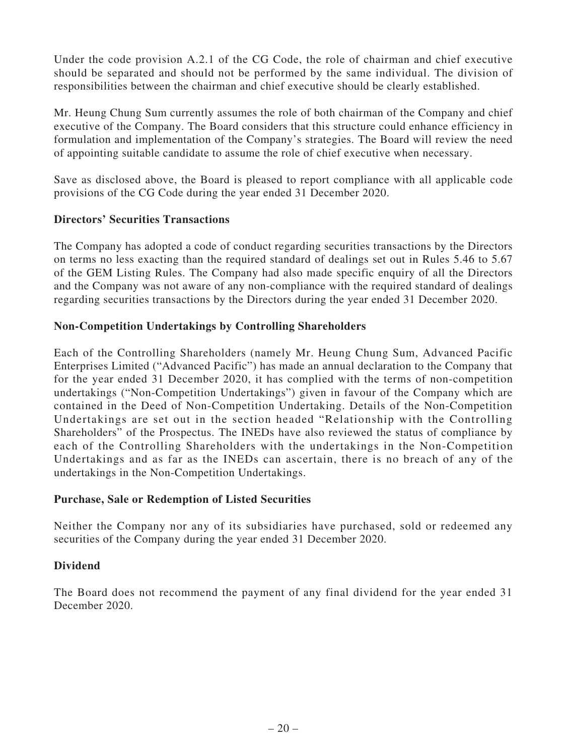Under the code provision A.2.1 of the CG Code, the role of chairman and chief executive should be separated and should not be performed by the same individual. The division of responsibilities between the chairman and chief executive should be clearly established.

Mr. Heung Chung Sum currently assumes the role of both chairman of the Company and chief executive of the Company. The Board considers that this structure could enhance efficiency in formulation and implementation of the Company's strategies. The Board will review the need of appointing suitable candidate to assume the role of chief executive when necessary.

Save as disclosed above, the Board is pleased to report compliance with all applicable code provisions of the CG Code during the year ended 31 December 2020.

## **Directors' Securities Transactions**

The Company has adopted a code of conduct regarding securities transactions by the Directors on terms no less exacting than the required standard of dealings set out in Rules 5.46 to 5.67 of the GEM Listing Rules. The Company had also made specific enquiry of all the Directors and the Company was not aware of any non-compliance with the required standard of dealings regarding securities transactions by the Directors during the year ended 31 December 2020.

## **Non-Competition Undertakings by Controlling Shareholders**

Each of the Controlling Shareholders (namely Mr. Heung Chung Sum, Advanced Pacific Enterprises Limited ("Advanced Pacific") has made an annual declaration to the Company that for the year ended 31 December 2020, it has complied with the terms of non-competition undertakings ("Non-Competition Undertakings") given in favour of the Company which are contained in the Deed of Non-Competition Undertaking. Details of the Non-Competition Undertakings are set out in the section headed "Relationship with the Controlling Shareholders" of the Prospectus. The INEDs have also reviewed the status of compliance by each of the Controlling Shareholders with the undertakings in the Non-Competition Undertakings and as far as the INEDs can ascertain, there is no breach of any of the undertakings in the Non-Competition Undertakings.

### **Purchase, Sale or Redemption of Listed Securities**

Neither the Company nor any of its subsidiaries have purchased, sold or redeemed any securities of the Company during the year ended 31 December 2020.

### **Dividend**

The Board does not recommend the payment of any final dividend for the year ended 31 December 2020.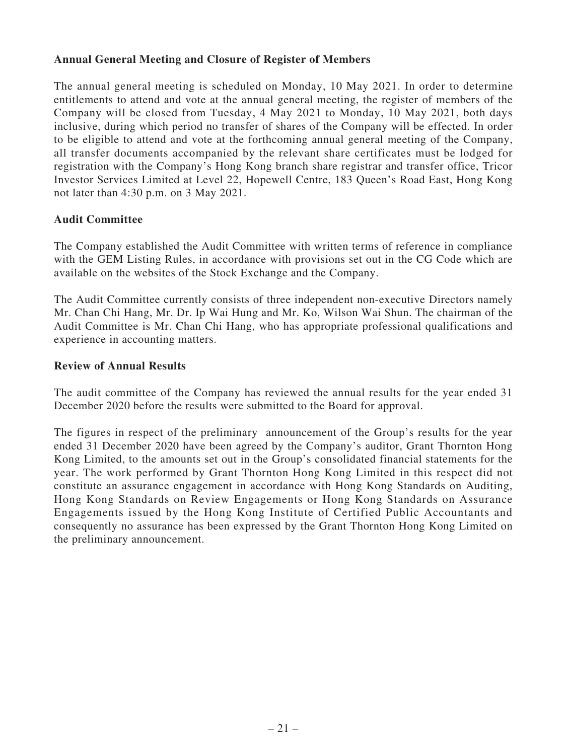### **Annual General Meeting and Closure of Register of Members**

The annual general meeting is scheduled on Monday, 10 May 2021. In order to determine entitlements to attend and vote at the annual general meeting, the register of members of the Company will be closed from Tuesday, 4 May 2021 to Monday, 10 May 2021, both days inclusive, during which period no transfer of shares of the Company will be effected. In order to be eligible to attend and vote at the forthcoming annual general meeting of the Company, all transfer documents accompanied by the relevant share certificates must be lodged for registration with the Company's Hong Kong branch share registrar and transfer office, Tricor Investor Services Limited at Level 22, Hopewell Centre, 183 Queen's Road East, Hong Kong not later than 4:30 p.m. on 3 May 2021.

### **Audit Committee**

The Company established the Audit Committee with written terms of reference in compliance with the GEM Listing Rules, in accordance with provisions set out in the CG Code which are available on the websites of the Stock Exchange and the Company.

The Audit Committee currently consists of three independent non-executive Directors namely Mr. Chan Chi Hang, Mr. Dr. Ip Wai Hung and Mr. Ko, Wilson Wai Shun. The chairman of the Audit Committee is Mr. Chan Chi Hang, who has appropriate professional qualifications and experience in accounting matters.

### **Review of Annual Results**

The audit committee of the Company has reviewed the annual results for the year ended 31 December 2020 before the results were submitted to the Board for approval.

The figures in respect of the preliminary announcement of the Group's results for the year ended 31 December 2020 have been agreed by the Company's auditor, Grant Thornton Hong Kong Limited, to the amounts set out in the Group's consolidated financial statements for the year. The work performed by Grant Thornton Hong Kong Limited in this respect did not constitute an assurance engagement in accordance with Hong Kong Standards on Auditing, Hong Kong Standards on Review Engagements or Hong Kong Standards on Assurance Engagements issued by the Hong Kong Institute of Certified Public Accountants and consequently no assurance has been expressed by the Grant Thornton Hong Kong Limited on the preliminary announcement.